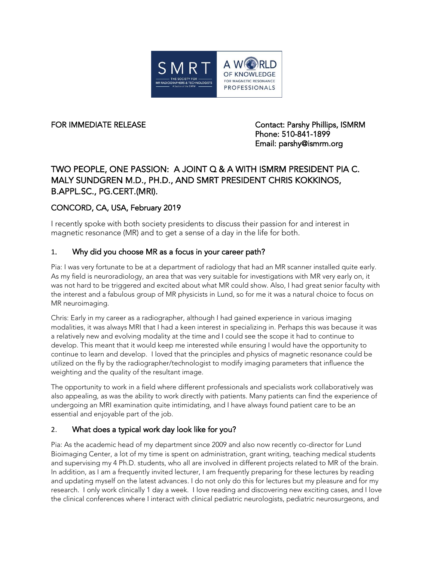

FOR IMMEDIATE RELEASE Contact: Parshy Phillips, ISMRM Phone: 510-841-1899 Email: parshy@ismrm.org

# TWO PEOPLE, ONE PASSION: A JOINT Q & A WITH ISMRM PRESIDENT PIA C. MALY SUNDGREN M.D., PH.D., AND SMRT PRESIDENT CHRIS KOKKINOS, B.APPL.SC., PG.CERT.(MRI).

# CONCORD, CA, USA, February 2019

I recently spoke with both society presidents to discuss their passion for and interest in magnetic resonance (MR) and to get a sense of a day in the life for both.

#### 1. Why did you choose MR as a focus in your career path?

Pia: I was very fortunate to be at a department of radiology that had an MR scanner installed quite early. As my field is neuroradiology, an area that was very suitable for investigations with MR very early on, it was not hard to be triggered and excited about what MR could show. Also, I had great senior faculty with the interest and a fabulous group of MR physicists in Lund, so for me it was a natural choice to focus on MR neuroimaging.

Chris: Early in my career as a radiographer, although I had gained experience in various imaging modalities, it was always MRI that I had a keen interest in specializing in. Perhaps this was because it was a relatively new and evolving modality at the time and I could see the scope it had to continue to develop. This meant that it would keep me interested while ensuring I would have the opportunity to continue to learn and develop. I loved that the principles and physics of magnetic resonance could be utilized on the fly by the radiographer/technologist to modify imaging parameters that influence the weighting and the quality of the resultant image.

The opportunity to work in a field where different professionals and specialists work collaboratively was also appealing, as was the ability to work directly with patients. Many patients can find the experience of undergoing an MRI examination quite intimidating, and I have always found patient care to be an essential and enjoyable part of the job.

#### 2. What does a typical work day look like for you?

Pia: As the academic head of my department since 2009 and also now recently co-director for Lund Bioimaging Center, a lot of my time is spent on administration, grant writing, teaching medical students and supervising my 4 Ph.D. students, who all are involved in different projects related to MR of the brain. In addition, as I am a frequently invited lecturer, I am frequently preparing for these lectures by reading and updating myself on the latest advances. I do not only do this for lectures but my pleasure and for my research. I only work clinically 1 day a week. I love reading and discovering new exciting cases, and I love the clinical conferences where I interact with clinical pediatric neurologists, pediatric neurosurgeons, and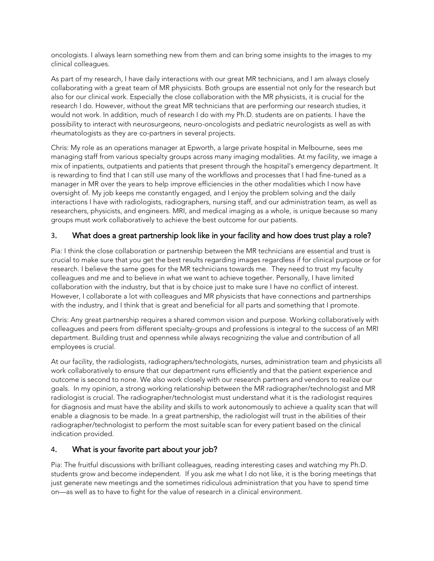oncologists. I always learn something new from them and can bring some insights to the images to my clinical colleagues.

As part of my research, I have daily interactions with our great MR technicians, and I am always closely collaborating with a great team of MR physicists. Both groups are essential not only for the research but also for our clinical work. Especially the close collaboration with the MR physicists, it is crucial for the research I do. However, without the great MR technicians that are performing our research studies, it would not work. In addition, much of research I do with my Ph.D. students are on patients. I have the possibility to interact with neurosurgeons, neuro-oncologists and pediatric neurologists as well as with rheumatologists as they are co-partners in several projects.

Chris: My role as an operations manager at Epworth, a large private hospital in Melbourne, sees me managing staff from various specialty groups across many imaging modalities. At my facility, we image a mix of inpatients, outpatients and patients that present through the hospital's emergency department. It is rewarding to find that I can still use many of the workflows and processes that I had fine-tuned as a manager in MR over the years to help improve efficiencies in the other modalities which I now have oversight of. My job keeps me constantly engaged, and I enjoy the problem solving and the daily interactions I have with radiologists, radiographers, nursing staff, and our administration team, as well as researchers, physicists, and engineers. MRI, and medical imaging as a whole, is unique because so many groups must work collaboratively to achieve the best outcome for our patients.

#### 3. What does a great partnership look like in your facility and how does trust play a role?

Pia: I think the close collaboration or partnership between the MR technicians are essential and trust is crucial to make sure that you get the best results regarding images regardless if for clinical purpose or for research. I believe the same goes for the MR technicians towards me. They need to trust my faculty colleagues and me and to believe in what we want to achieve together. Personally, I have limited collaboration with the industry, but that is by choice just to make sure I have no conflict of interest. However, I collaborate a lot with colleagues and MR physicists that have connections and partnerships with the industry, and I think that is great and beneficial for all parts and something that I promote.

Chris: Any great partnership requires a shared common vision and purpose. Working collaboratively with colleagues and peers from different specialty-groups and professions is integral to the success of an MRI department. Building trust and openness while always recognizing the value and contribution of all employees is crucial.

At our facility, the radiologists, radiographers/technologists, nurses, administration team and physicists all work collaboratively to ensure that our department runs efficiently and that the patient experience and outcome is second to none. We also work closely with our research partners and vendors to realize our goals. In my opinion, a strong working relationship between the MR radiographer/technologist and MR radiologist is crucial. The radiographer/technologist must understand what it is the radiologist requires for diagnosis and must have the ability and skills to work autonomously to achieve a quality scan that will enable a diagnosis to be made. In a great partnership, the radiologist will trust in the abilities of their radiographer/technologist to perform the most suitable scan for every patient based on the clinical indication provided.

#### 4. What is your favorite part about your job?

Pia: The fruitful discussions with brilliant colleagues, reading interesting cases and watching my Ph.D. students grow and become independent. If you ask me what I do not like, it is the boring meetings that just generate new meetings and the sometimes ridiculous administration that you have to spend time on—as well as to have to fight for the value of research in a clinical environment.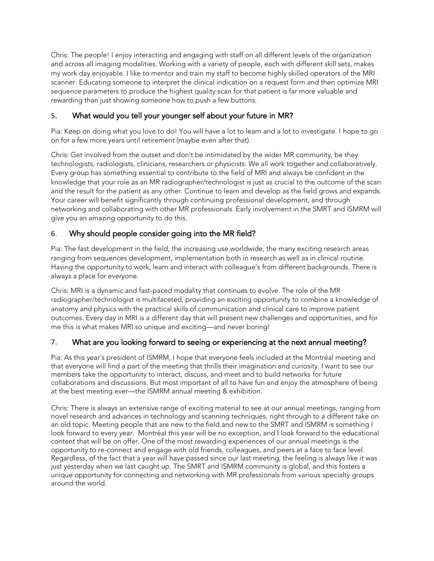Chris: The people! I enjoy interacting and engaging with staff on all different levels of the organization and across all imaging modalities. Working with a variety of people, each with different skill sets, makes my work day enjoyable. I like to mentor and train my staff to become highly skilled operators of the MRI scanner. Educating someone to interpret the clinical indication on a request form and then optimize MRI sequence parameters to produce the highest quality scan for that patient is far more valuable and rewarding than just showing someone how to push a few buttons.

# 5. What would you tell your younger self about your future in MR?

Pia: Keep on doing what you love to do! You will have a lot to learn and a lot to investigate. I hope to go on for a few more years until retirement (maybe even after that).

Chris: Get involved from the outset and don't be intimidated by the wider MR community, be they technologists, radiologists, clinicians, researchers or physicists. We all work together and collaboratively. Every group has something essential to contribute to the field of MRI and always be confident in the knowledge that your role as an MR radiographer/technologist is just as crucial to the outcome of the scan and the result for the patient as any other. Continue to learn and develop as the field grows and expands. Your career will benefit significantly through continuing professional development, and through networking and collaborating with other MR professionals. Early involvement in the SMRT and ISMRM will give you an amazing opportunity to do this.

# 6. Why should people consider going into the MR field?

Pia: The fast development in the field, the increasing use worldwide, the many exciting research areas ranging from sequences development, implementation both in research as well as in clinical routine. Having the opportunity to work, learn and interact with colleague's from different backgrounds. There is always a place for everyone.

Chris: MRI is a dynamic and fast-paced modality that continues to evolve. The role of the MR radiographer/technologist is multifaceted, providing an exciting opportunity to combine a knowledge of anatomy and physics with the practical skills of communication and clinical care to improve patient outcomes. Every day in MRI is a different day that will present new challenges and opportunities, and for me this is what makes MRI so unique and exciting—and never boring!

#### 7. What are you looking forward to seeing or experiencing at the next annual meeting?

Pia: As this year´s president of ISMRM, I hope that everyone feels included at the Montréal meeting and that everyone will find a part of the meeting that thrills their imagination and curiosity. I want to see our members take the opportunity to interact, discuss, and meet and to build networks for future collaborations and discussions. But most important of all to have fun and enjoy the atmosphere of being at the best meeting ever—the ISMRM annual meeting & exhibition.

Chris: There is always an extensive range of exciting material to see at our annual meetings, ranging from novel research and advances in technology and scanning techniques, right through to a different take on an old topic. Meeting people that are new to the field and new to the SMRT and ISMRM is something I look forward to every year. Montréal this year will be no exception, and I look forward to the educational content that will be on offer. One of the most rewarding experiences of our annual meetings is the opportunity to re-connect and engage with old friends, colleagues, and peers at a face to face level. Regardless, of the fact that a year will have passed since our last meeting, the feeling is always like it was just yesterday when we last caught up. The SMRT and ISMRM community is global, and this fosters a unique opportunity for connecting and networking with MR professionals from various specialty groups around the world.